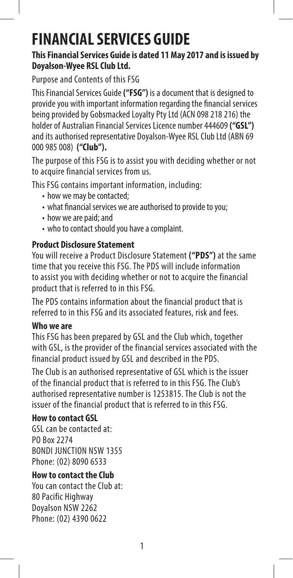# **FINANCIAL SERVICES GUIDE**

## **This Financial Services Guide is dated 11 May 2017 and is issued by Doyalson-Wyee RSL Club Ltd.**

Purpose and Contents of this FSG

This Financial Services Guide **("FSG")** is a document that is designed to provide you with important information regarding the financial services being provided by Gobsmacked Loyalty Pty Ltd (ACN 098 218 216) the holder of Australian Financial Services Licence number 444609 **("GSL")** and its authorised representative Doyalson-Wyee RSL Club Ltd (ABN 69 000 985 008) **("Club").**

The purpose of this FSG is to assist you with deciding whether or not to acquire financial services from us.

This FSG contains important information, including:

- how we may be contacted:
- what financial services we are authorised to provide to you;
- how we are paid; and
- who to contact should you have a complaint.

# **Product Disclosure Statement**

You will receive a Product Disclosure Statement **("PDS")** at the same time that you receive this FSG. The PDS will include information to assist you with deciding whether or not to acquire the financial product that is referred to in this FSG.

The PDS contains information about the financial product that is referred to in this FSG and its associated features, risk and fees.

# **Who we are**

This FSG has been prepared by GSL and the Club which, together with GSL, is the provider of the financial services associated with the financial product issued by GSL and described in the PDS.

The Club is an authorised representative of GSL which is the issuer of the financial product that is referred to in this FSG. The Club's authorised representative number is 1253815. The Club is not the issuer of the financial product that is referred to in this FSG.

# **How to contact GSL**

GSL can be contacted at: PO Box 2274 BONDI JUNCTION NSW 1355 Phone: (02) 8090 6533

# **How to contact the Club**

You can contact the Club at: 80 Pacific Highway Doyalson NSW 2262 Phone: (02) 4390 0622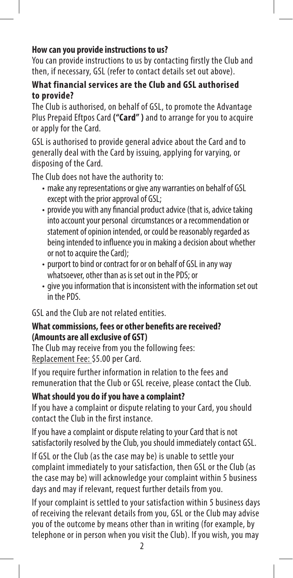## **How can you provide instructions to us?**

You can provide instructions to us by contacting firstly the Club and then, if necessary, GSL (refer to contact details set out above).

### **What financial services are the Club and GSL authorised to provide?**

The Club is authorised, on behalf of GSL, to promote the Advantage Plus Prepaid Eftpos Card **("Card" )** and to arrange for you to acquire or apply for the Card.

GSL is authorised to provide general advice about the Card and to generally deal with the Card by issuing, applying for varying, or disposing of the Card.

The Club does not have the authority to:

- make any representations or give any warranties on behalf of GSL except with the prior approval of GSL;
- provide you with any financial product advice (that is, advice taking into account your personal circumstances or a recommendation or statement of opinion intended, or could be reasonably regarded as being intended to influence you in making a decision about whether or not to acquire the Card);
- purport to bind or contract for or on behalf of GSL in any way whatsoever, other than as is set out in the PDS; or
- give you information that is inconsistent with the information set out in the PDS.

GSL and the Club are not related entities.

### **What commissions, fees or other benefits are received? (Amounts are all exclusive of GST)**

The Club may receive from you the following fees: Replacement Fee: \$5.00 per Card.

If you require further information in relation to the fees and remuneration that the Club or GSL receive, please contact the Club.

### **What should you do if you have a complaint?**

If you have a complaint or dispute relating to your Card, you should contact the Club in the first instance.

If you have a complaint or dispute relating to your Card that is not satisfactorily resolved by the Club, you should immediately contact GSL.

If GSL or the Club (as the case may be) is unable to settle your complaint immediately to your satisfaction, then GSL or the Club (as the case may be) will acknowledge your complaint within 5 business days and may if relevant, request further details from you.

If your complaint is settled to your satisfaction within 5 business days of receiving the relevant details from you, GSL or the Club may advise you of the outcome by means other than in writing (for example, by telephone or in person when you visit the Club). If you wish, you may